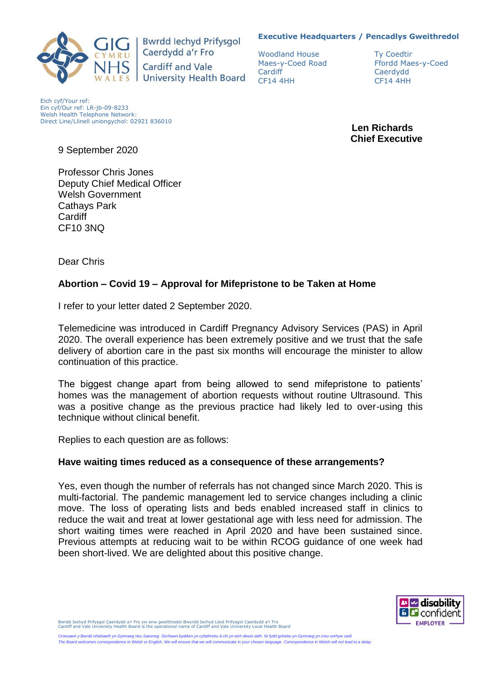#### **Executive Headquarters / Pencadlys Gweithredol**



**Bwrdd lechyd Prifysgol** Caerdydd a'r Fro **Cardiff and Vale University Health Board** 

Woodland House Ty Coedtin Cardiff Caerdydd CF14 4HH CF14 4HH

Maes-y-Coed Road Ffordd Maes-y-Coed

Eich cyf/Your ref: Ein cyf/Our ref: LR-jb-09-8233 Welsh Health Telephone Network: Direct Line/Llinell uniongychol: 02921 836010

 **Len Richards Chief Executive**

9 September 2020

Professor Chris Jones Deputy Chief Medical Officer Welsh Government Cathays Park **Cardiff** CF10 3NQ

Dear Chris

## **Abortion – Covid 19 – Approval for Mifepristone to be Taken at Home**

I refer to your letter dated 2 September 2020.

Telemedicine was introduced in Cardiff Pregnancy Advisory Services (PAS) in April 2020. The overall experience has been extremely positive and we trust that the safe delivery of abortion care in the past six months will encourage the minister to allow continuation of this practice.

The biggest change apart from being allowed to send mifepristone to patients' homes was the management of abortion requests without routine Ultrasound. This was a positive change as the previous practice had likely led to over-using this technique without clinical benefit.

Replies to each question are as follows:

#### **Have waiting times reduced as a consequence of these arrangements?**

Yes, even though the number of referrals has not changed since March 2020. This is multi-factorial. The pandemic management led to service changes including a clinic move. The loss of operating lists and beds enabled increased staff in clinics to reduce the wait and treat at lower gestational age with less need for admission. The short waiting times were reached in April 2020 and have been sustained since. Previous attempts at reducing wait to be within RCOG guidance of one week had been short-lived. We are delighted about this positive change.



Bwrdd Iechyd Prifysgol Caerdydd a'r Fro yw enw gweithredol Bwyrdd Iechyd Lleol Prifysgol Caerdydd a'r Fro Cardiff and Vale University Health Board is the operational name of Cardiff and Vale University Local Health Board

*Croesawir y Bwrdd ohebiaeth yn Gymraeg neu Saesneg. Sicrhawn byddwn yn cyfathrebu â chi yn eich dewis iaith. Ni fydd gohebu yn Gymraeg yn creu unrhyw oedi The Board welcomes correspondence in Welsh or English. We will ensure that we will communicate in your chosen language. Correspondence in Welsh will not lead to a delay*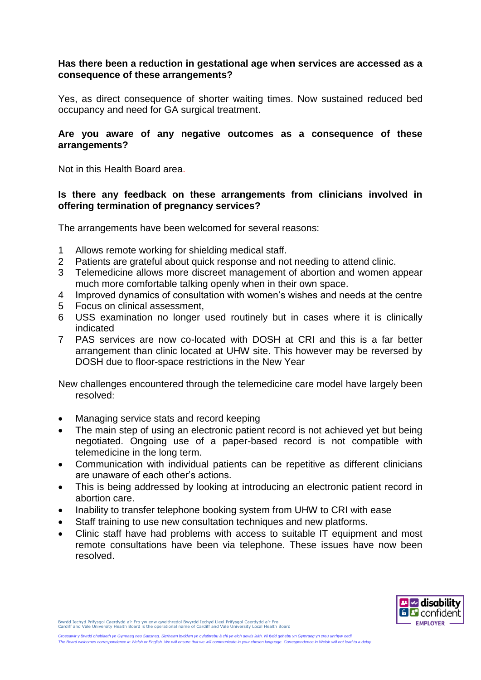# **Has there been a reduction in gestational age when services are accessed as a consequence of these arrangements?**

Yes, as direct consequence of shorter waiting times. Now sustained reduced bed occupancy and need for GA surgical treatment.

## **Are you aware of any negative outcomes as a consequence of these arrangements?**

Not in this Health Board area.

# **Is there any feedback on these arrangements from clinicians involved in offering termination of pregnancy services?**

The arrangements have been welcomed for several reasons:

- 1 Allows remote working for shielding medical staff.
- 2 Patients are grateful about quick response and not needing to attend clinic.
- 3 Telemedicine allows more discreet management of abortion and women appear much more comfortable talking openly when in their own space.
- 4 Improved dynamics of consultation with women's wishes and needs at the centre
- 5 Focus on clinical assessment,
- 6 USS examination no longer used routinely but in cases where it is clinically indicated
- 7 PAS services are now co-located with DOSH at CRI and this is a far better arrangement than clinic located at UHW site. This however may be reversed by DOSH due to floor-space restrictions in the New Year

New challenges encountered through the telemedicine care model have largely been resolved:

- Managing service stats and record keeping
- The main step of using an electronic patient record is not achieved yet but being negotiated. Ongoing use of a paper-based record is not compatible with telemedicine in the long term.
- Communication with individual patients can be repetitive as different clinicians are unaware of each other's actions.
- This is being addressed by looking at introducing an electronic patient record in abortion care.
- Inability to transfer telephone booking system from UHW to CRI with ease
- Staff training to use new consultation techniques and new platforms.
- Clinic staff have had problems with access to suitable IT equipment and most remote consultations have been via telephone. These issues have now been resolved.



Bwrdd Iechyd Prifysgol Caerdydd a'r Fro yw enw gweithredol Bwyrdd Iechyd Lleol Prifysgol Caerdydd a'r Fro Cardiff and Vale University Health Board is the operational name of Cardiff and Vale University Local Health Board

*Croesawir y Bwrdd ohebiaeth yn Gymraeg neu Saesneg. Sicrhawn byddwn yn cyfathrebu â chi yn eich dewis iaith. Ni fydd gohebu yn Gymraeg yn creu unrhyw oedi The Board welcomes correspondence in Welsh or English. We will ensure that we will communicate in your chosen language. Correspondence in Welsh will not lead to a delay*